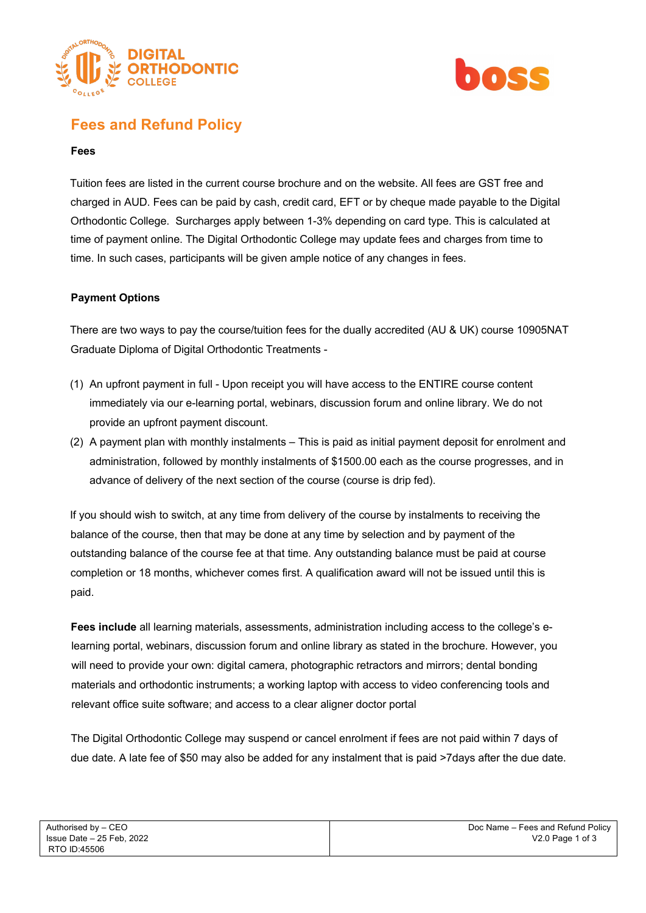



# **Fees and Refund Policy**

## **Fees**

Tuition fees are listed in the current course brochure and on the website. All fees are GST free and charged in AUD. Fees can be paid by cash, credit card, EFT or by cheque made payable to the Digital Orthodontic College. Surcharges apply between 1-3% depending on card type. This is calculated at time of payment online. The Digital Orthodontic College may update fees and charges from time to time. In such cases, participants will be given ample notice of any changes in fees.

## **Payment Options**

There are two ways to pay the course/tuition fees for the dually accredited (AU & UK) course 10905NAT Graduate Diploma of Digital Orthodontic Treatments -

- (1) An upfront payment in full Upon receipt you will have access to the ENTIRE course content immediately via our e-learning portal, webinars, discussion forum and online library. We do not provide an upfront payment discount.
- (2) A payment plan with monthly instalments This is paid as initial payment deposit for enrolment and administration, followed by monthly instalments of \$1500.00 each as the course progresses, and in advance of delivery of the next section of the course (course is drip fed).

If you should wish to switch, at any time from delivery of the course by instalments to receiving the balance of the course, then that may be done at any time by selection and by payment of the outstanding balance of the course fee at that time. Any outstanding balance must be paid at course completion or 18 months, whichever comes first. A qualification award will not be issued until this is paid.

**Fees include** all learning materials, assessments, administration including access to the college's elearning portal, webinars, discussion forum and online library as stated in the brochure. However, you will need to provide your own: digital camera, photographic retractors and mirrors; dental bonding materials and orthodontic instruments; a working laptop with access to video conferencing tools and relevant office suite software; and access to a clear aligner doctor portal

The Digital Orthodontic College may suspend or cancel enrolment if fees are not paid within 7 days of due date. A late fee of \$50 may also be added for any instalment that is paid >7days after the due date.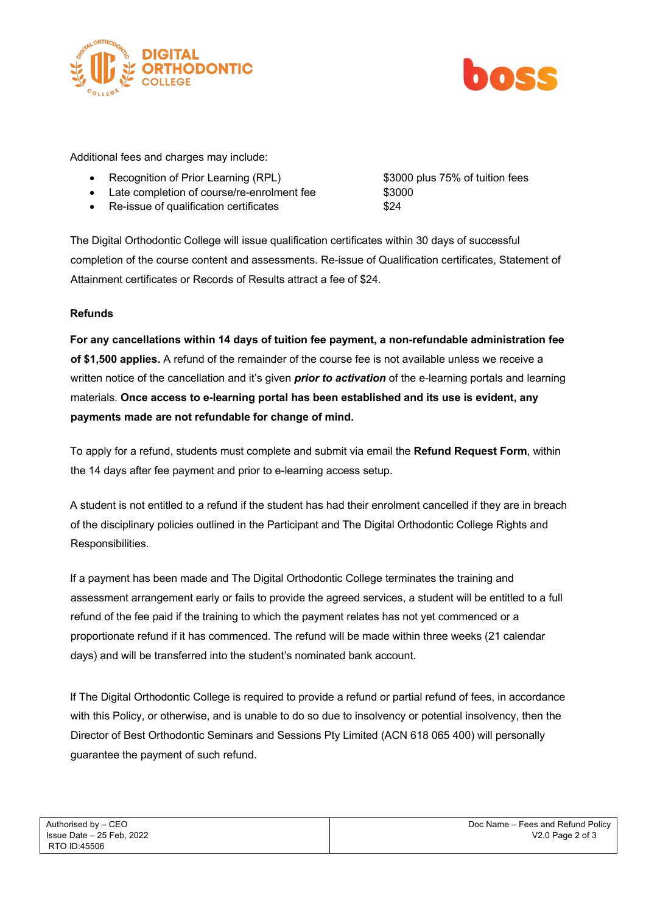



Additional fees and charges may include:

- Recognition of Prior Learning (RPL) \$3000 plus 75% of tuition fees
- Late completion of course/re-enrolment fee \$3000
- Re-issue of qualification certificates  $$24$

The Digital Orthodontic College will issue qualification certificates within 30 days of successful completion of the course content and assessments. Re-issue of Qualification certificates, Statement of Attainment certificates or Records of Results attract a fee of \$24.

## **Refunds**

**For any cancellations within 14 days of tuition fee payment, a non-refundable administration fee of \$1,500 applies.** A refund of the remainder of the course fee is not available unless we receive a written notice of the cancellation and it's given *prior to activation* of the e-learning portals and learning materials. **Once access to e-learning portal has been established and its use is evident, any payments made are not refundable for change of mind.**

To apply for a refund, students must complete and submit via email the **Refund Request Form**, within the 14 days after fee payment and prior to e-learning access setup.

A student is not entitled to a refund if the student has had their enrolment cancelled if they are in breach of the disciplinary policies outlined in the Participant and The Digital Orthodontic College Rights and Responsibilities.

If a payment has been made and The Digital Orthodontic College terminates the training and assessment arrangement early or fails to provide the agreed services, a student will be entitled to a full refund of the fee paid if the training to which the payment relates has not yet commenced or a proportionate refund if it has commenced. The refund will be made within three weeks (21 calendar days) and will be transferred into the student's nominated bank account.

If The Digital Orthodontic College is required to provide a refund or partial refund of fees, in accordance with this Policy, or otherwise, and is unable to do so due to insolvency or potential insolvency, then the Director of Best Orthodontic Seminars and Sessions Pty Limited (ACN 618 065 400) will personally guarantee the payment of such refund.